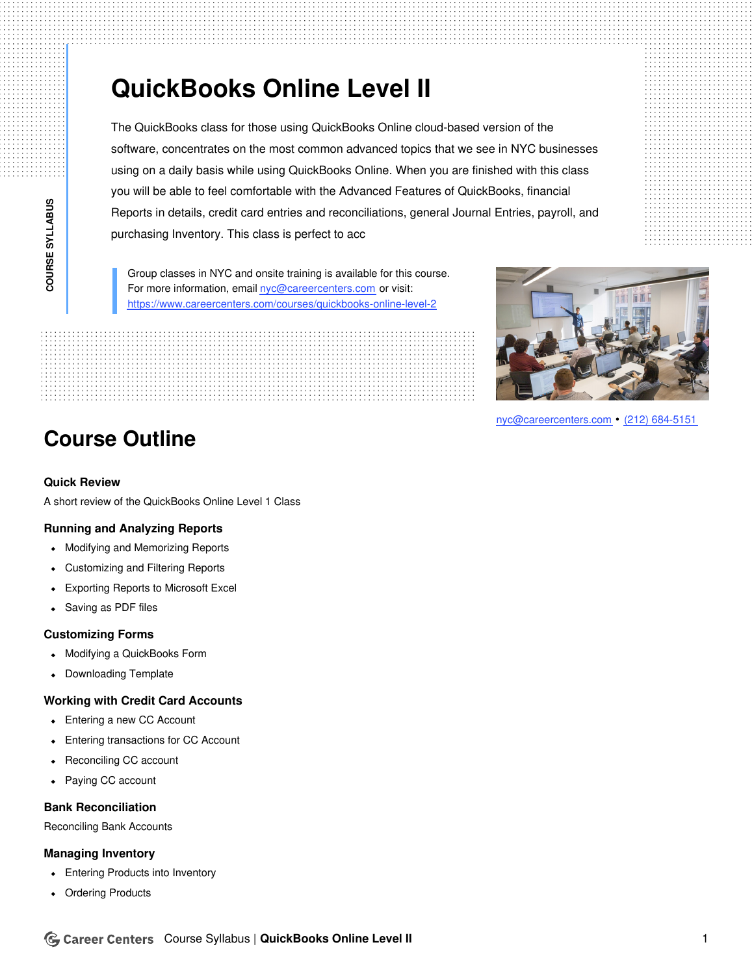# **QuickBooks Online Level II**

The QuickBooks class for those using QuickBooks Online cloud-based version of the software, concentrates on the most common advanced topics that we see in NYC businesses using on a daily basis while using QuickBooks Online. When you are finished with this class you will be able to feel comfortable with the Advanced Features of QuickBooks, financial Reports in details, credit card entries and reconciliations, general Journal Entries, payroll, and purchasing Inventory. This class is perfect to acc

Group classes in NYC and onsite training is available for this course. For more information, email [nyc@careercenters.com](mailto:nyc@careercenters.com) or visit: <https://www.careercenters.com/courses/quickbooks-online-level-2>

**Course Outline**

### **Quick Review**

A short review of the QuickBooks Online Level 1 Class

#### **Running and Analyzing Reports**

- Modifying and Memorizing Reports
- Customizing and Filtering Reports  $\bullet$
- Exporting Reports to Microsoft Excel
- Saving as PDF files  $\bullet$

#### **Customizing Forms**

- Modifying a QuickBooks Form  $\bullet$
- Downloading Template  $\bullet$

#### **Working with Credit Card Accounts**

- Entering a new CC Account
- Entering transactions for CC Account
- Reconciling CC account  $\bullet$
- Paying CC account  $\bullet$

#### **Bank Reconciliation**

Reconciling Bank Accounts

#### **Managing Inventory**

- Entering Products into Inventory
- Ordering Products





[nyc@careercenters.com](mailto:nyc@careercenters.com) • (212) [684-5151](tel:+1-212-684-5151)